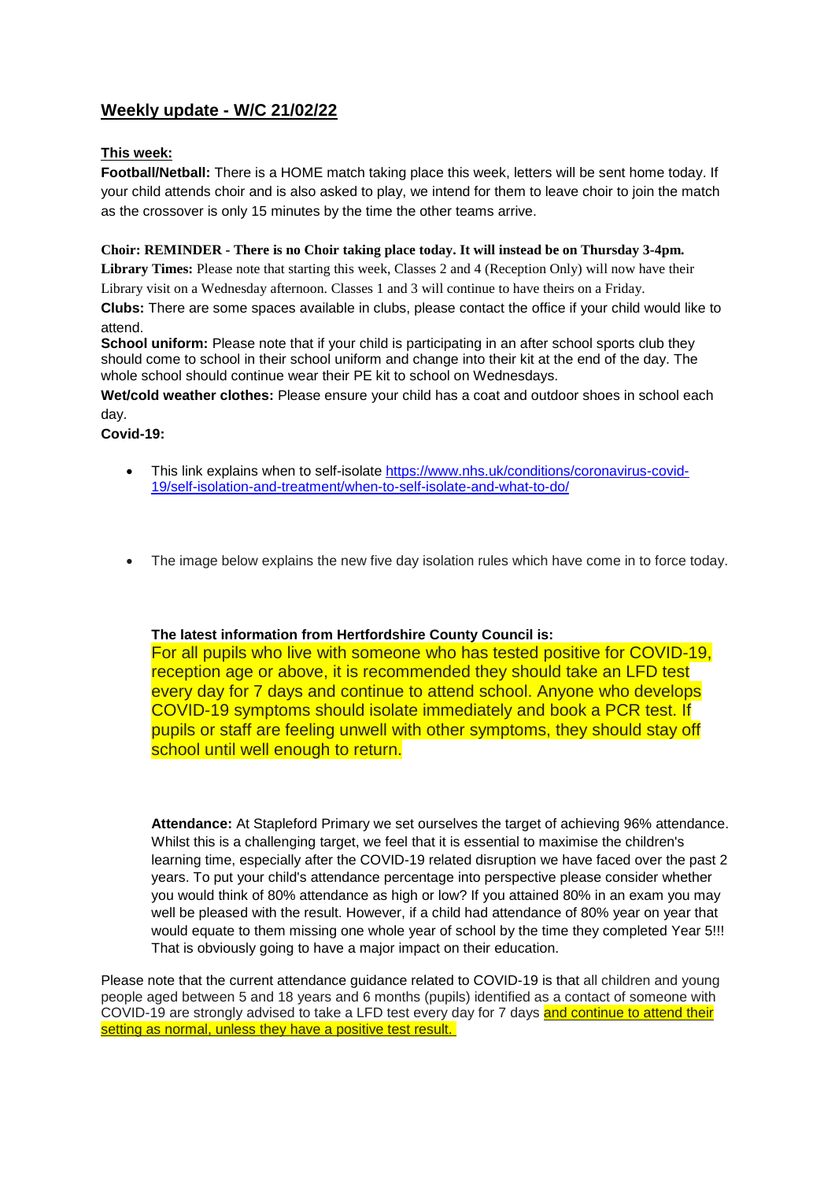# **Weekly update - W/C 21/02/22**

## **This week:**

**Football/Netball:** There is a HOME match taking place this week, letters will be sent home today. If your child attends choir and is also asked to play, we intend for them to leave choir to join the match as the crossover is only 15 minutes by the time the other teams arrive.

#### **Choir: REMINDER - There is no Choir taking place today. It will instead be on Thursday 3-4pm.**

**Library Times:** Please note that starting this week, Classes 2 and 4 (Reception Only) will now have their Library visit on a Wednesday afternoon. Classes 1 and 3 will continue to have theirs on a Friday.

**Clubs:** There are some spaces available in clubs, please contact the office if your child would like to attend.

**School uniform:** Please note that if your child is participating in an after school sports club they should come to school in their school uniform and change into their kit at the end of the day. The whole school should continue wear their PE kit to school on Wednesdays.

**Wet/cold weather clothes:** Please ensure your child has a coat and outdoor shoes in school each day.

**Covid-19:** 

- This link explains when to self-isolate [https://www.nhs.uk/conditions/coronavirus-covid-](https://www.nhs.uk/conditions/coronavirus-covid-19/self-isolation-and-treatment/when-to-self-isolate-and-what-to-do/)[19/self-isolation-and-treatment/when-to-self-isolate-and-what-to-do/](https://www.nhs.uk/conditions/coronavirus-covid-19/self-isolation-and-treatment/when-to-self-isolate-and-what-to-do/)
- The image below explains the new five day isolation rules which have come in to force today.

### **The latest information from Hertfordshire County Council is:**

For all pupils who live with someone who has tested positive for COVID-19, reception age or above, it is recommended they should take an LFD test every day for 7 days and continue to attend school. Anyone who develops COVID-19 symptoms should isolate immediately and book a PCR test. If pupils or staff are feeling unwell with other symptoms, they should stay off school until well enough to return.

**Attendance:** At Stapleford Primary we set ourselves the target of achieving 96% attendance. Whilst this is a challenging target, we feel that it is essential to maximise the children's learning time, especially after the COVID-19 related disruption we have faced over the past 2 years. To put your child's attendance percentage into perspective please consider whether you would think of 80% attendance as high or low? If you attained 80% in an exam you may well be pleased with the result. However, if a child had attendance of 80% year on year that would equate to them missing one whole year of school by the time they completed Year 5!!! That is obviously going to have a major impact on their education.

Please note that the current attendance guidance related to COVID-19 is that all children and young people aged between 5 and 18 years and 6 months (pupils) identified as a contact of someone with COVID-19 are strongly advised to take a LFD test every day for 7 days and continue to attend their setting as normal, unless they have a positive test result.